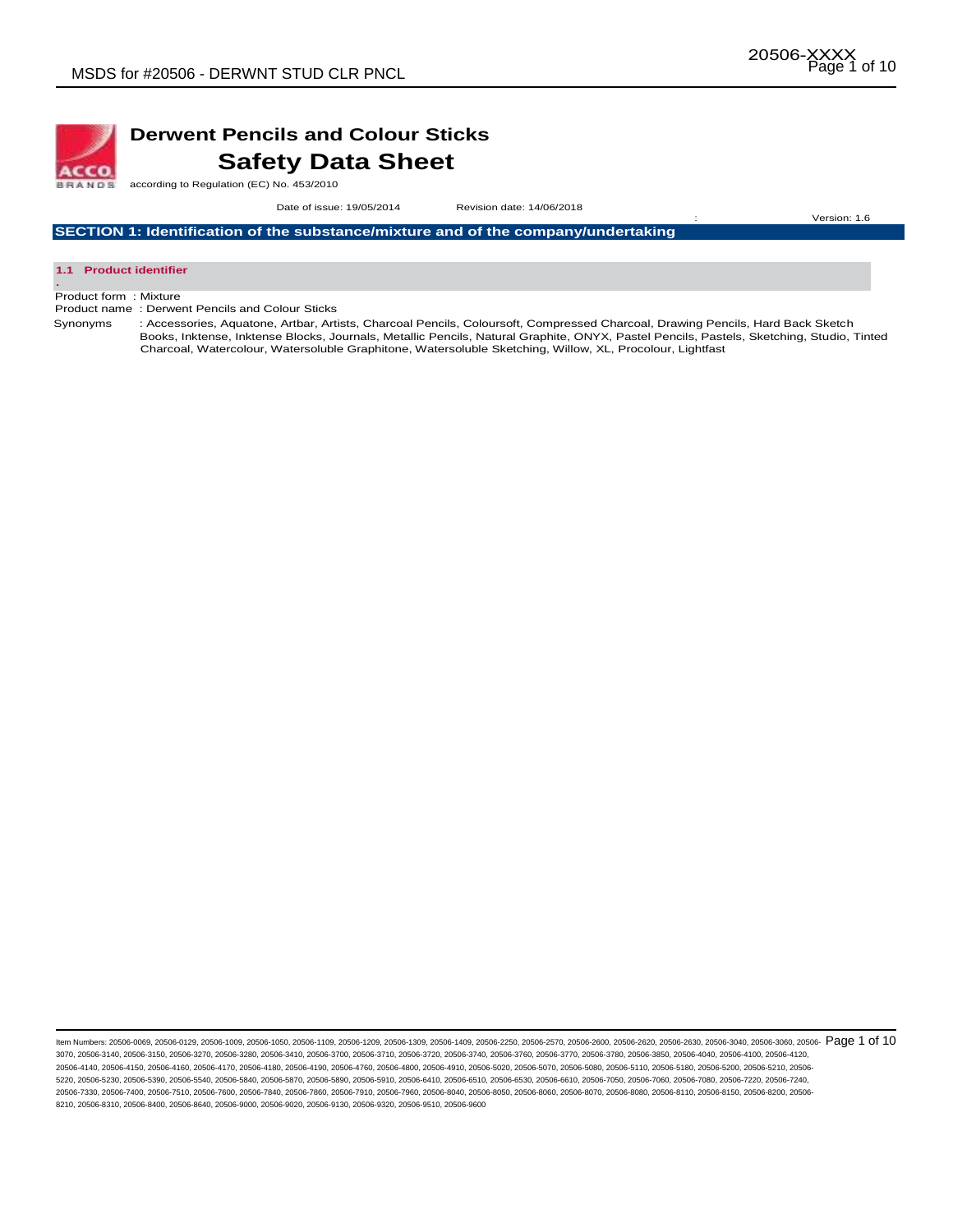

## **Derwent Pencils and Colour Sticks Safety Data Sheet**

according to Regulation (EC) No. 453/2010

 Date of issue: 19/05/2014Revision date: 14/06/2018 : Version: 1.6

**SECTION 1: Identification of the substance/mixture and of the company/undertaking** 



Product form : Mixture

Product name : Derwent Pencils and Colour Sticks

Synonyms : Accessories, Aquatone, Artbar, Artists, Charcoal Pencils, Coloursoft, Compressed Charcoal, Drawing Pencils, Hard Back Sketch Books, Inktense, Inktense Blocks, Journals, Metallic Pencils, Natural Graphite, ONYX, Pastel Pencils, Pastels, Sketching, Studio, Tinted Charcoal, Watercolour, Watersoluble Graphitone, Watersoluble Sketching, Willow, XL, Procolour, Lightfast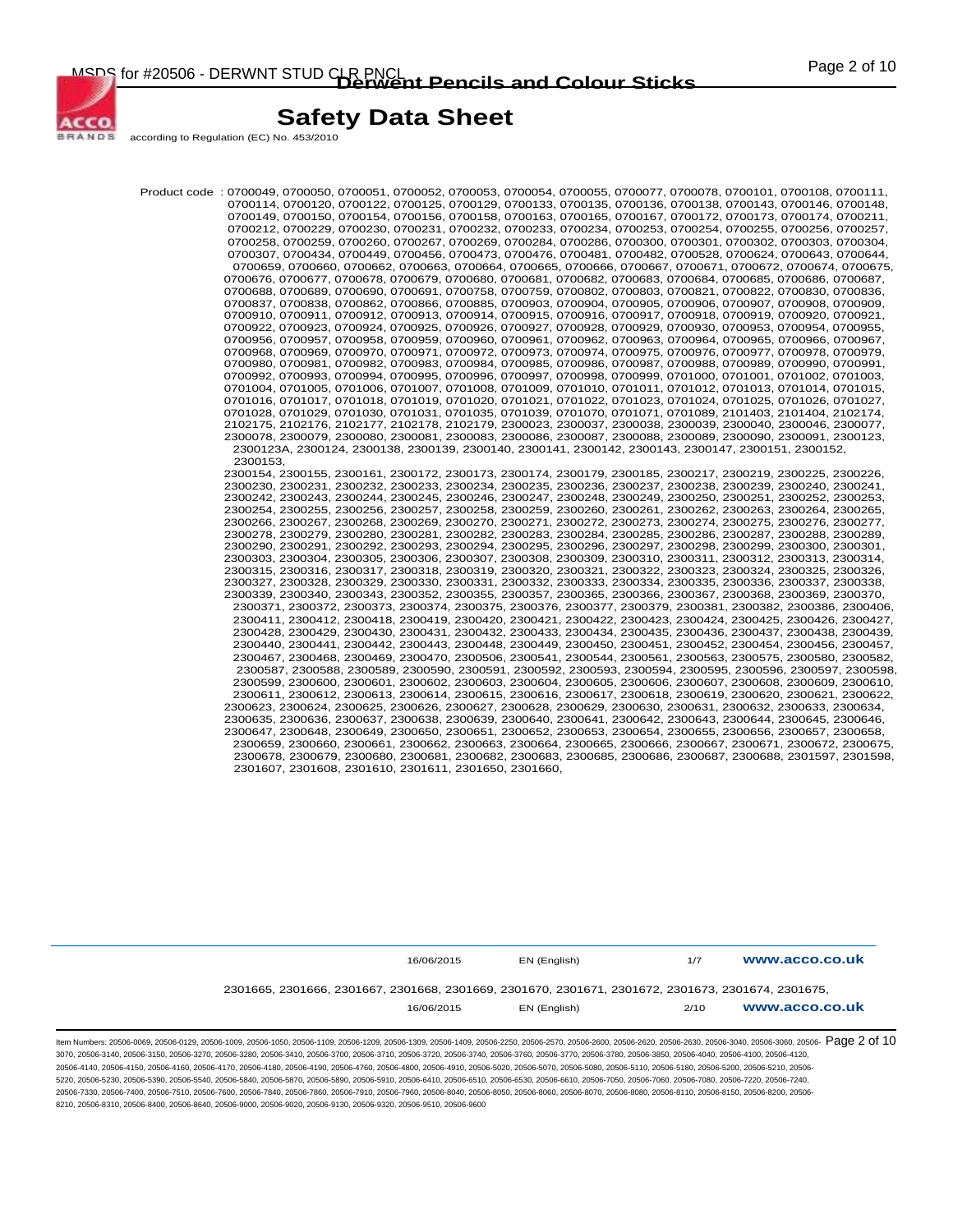

according to Regulation (EC) No. 453/2010

Product code : 0700049, 0700050, 0700051, 0700052, 0700053, 0700054, 0700055, 0700077, 0700078, 0700101, 0700108, 0700111, 0700114, 0700120, 0700122, 0700125, 0700129, 0700133, 0700135, 0700136, 0700138, 0700143, 0700146, 0700148, 0700149, 0700150, 0700154, 0700156, 0700158, 0700163, 0700165, 0700167, 0700172, 0700173, 0700174, 0700211, 0700212, 0700229, 0700230, 0700231, 0700232, 0700233, 0700234, 0700253, 0700254, 0700255, 0700256, 0700257, 0700258, 0700259, 0700260, 0700267, 0700269, 0700284, 0700286, 0700300, 0700301, 0700302, 0700303, 0700304, 0700307, 0700434, 0700449, 0700456, 0700473, 0700476, 0700481, 0700482, 0700528, 0700624, 0700643, 0700644, 0700659, 0700660, 0700662, 0700663, 0700664, 0700665, 0700666, 0700667, 0700671, 0700672, 0700674, 0700675, 0700676, 0700677, 0700678, 0700679, 0700680, 0700681, 0700682, 0700683, 0700684, 0700685, 0700686, 0700687, 0700688, 0700689, 0700690, 0700691, 0700758, 0700759, 0700802, 0700803, 0700821, 0700822, 0700830, 0700836, 0700837, 0700838, 0700862, 0700866, 0700885, 0700903, 0700904, 0700905, 0700906, 0700907, 0700908, 0700909, 0700910, 0700911, 0700912, 0700913, 0700914, 0700915, 0700916, 0700917, 0700918, 0700919, 0700920, 0700921, 0700922, 0700923, 0700924, 0700925, 0700926, 0700927, 0700928, 0700929, 0700930, 0700953, 0700954, 0700955, 0700956, 0700957, 0700958, 0700959, 0700960, 0700961, 0700962, 0700963, 0700964, 0700965, 0700966, 0700967, 0700968, 0700969, 0700970, 0700971, 0700972, 0700973, 0700974, 0700975, 0700976, 0700977, 0700978, 0700979, 0700980, 0700981, 0700982, 0700983, 0700984, 0700985, 0700986, 0700987, 0700988, 0700989, 0700990, 0700991, 0700992, 0700993, 0700994, 0700995, 0700996, 0700997, 0700998, 0700999, 0701000, 0701001, 0701002, 0701003, 0701004, 0701005, 0701006, 0701007, 0701008, 0701009, 0701010, 0701011, 0701012, 0701013, 0701014, 0701015, 0701016, 0701017, 0701018, 0701019, 0701020, 0701021, 0701022, 0701023, 0701024, 0701025, 0701026, 0701027, 0701028, 0701029, 0701030, 0701031, 0701035, 0701039, 0701070, 0701071, 0701089, 2101403, 2101404, 2102174, 2102175, 2102176, 2102177, 2102178, 2102179, 2300023, 2300037, 2300038, 2300039, 2300040, 2300046, 2300077, 2300078, 2300079, 2300080, 2300081, 2300083, 2300086, 2300087, 2300088, 2300089, 2300090, 2300091, 2300123, 2300123A, 2300124, 2300138, 2300139, 2300140, 2300141, 2300142, 2300143, 2300147, 2300151, 2300152, 2300153, 2300154, 2300155, 2300161, 2300172, 2300173, 2300174, 2300179, 2300185, 2300217, 2300219, 2300225, 2300226, 2300230, 2300231, 2300232, 2300233, 2300234, 2300235, 2300236, 2300237, 2300238, 2300239, 2300240, 2300241, 2300242, 2300243, 2300244, 2300245, 2300246, 2300247, 2300248, 2300249, 2300250, 2300251, 2300252, 2300253, 2300254, 2300255, 2300256, 2300257, 2300258, 2300259, 2300260, 2300261, 2300262, 2300263, 2300264, 2300265, 2300266, 2300267, 2300268, 2300269, 2300270, 2300271, 2300272, 2300273, 2300274, 2300275, 2300276, 2300277, 2300278, 2300279, 2300280, 2300281, 2300282, 2300283, 2300284, 2300285, 2300286, 2300287, 2300288, 2300289, 2300290, 2300291, 2300292, 2300293, 2300294, 2300295, 2300296, 2300297, 2300298, 2300299, 2300300, 2300301, 2300303, 2300304, 2300305, 2300306, 2300307, 2300308, 2300309, 2300310, 2300311, 2300312, 2300313, 2300314, 2300315, 2300316, 2300317, 2300318, 2300319, 2300320, 2300321, 2300322, 2300323, 2300324, 2300325, 2300326, 2300327, 2300328, 2300329, 2300330, 2300331, 2300332, 2300333, 2300334, 2300335, 2300336, 2300337, 2300338, 2300339, 2300340, 2300343, 2300352, 2300355, 2300357, 2300365, 2300366, 2300367, 2300368, 2300369, 2300370, 2300371, 2300372, 2300373, 2300374, 2300375, 2300376, 2300377, 2300379, 2300381, 2300382, 2300386, 2300406, 2300411, 2300412, 2300418, 2300419, 2300420, 2300421, 2300422, 2300423, 2300424, 2300425, 2300426, 2300427, 2300428, 2300429, 2300430, 2300431, 2300432, 2300433, 2300434, 2300435, 2300436, 2300437, 2300438, 2300439, 2300440, 2300441, 2300442, 2300443, 2300448, 2300449, 2300450, 2300451, 2300452, 2300454, 2300456, 2300457, 2300467, 2300468, 2300469, 2300470, 2300506, 2300541, 2300544, 2300561, 2300563, 2300575, 2300580, 2300582, 2300587, 2300588, 2300589, 2300590, 2300591, 2300592, 2300593, 2300594, 2300595, 2300596, 2300597, 2300598, 2300599, 2300600, 2300601, 2300602, 2300603, 2300604, 2300605, 2300606, 2300607, 2300608, 2300609, 2300610, 2300611, 2300612, 2300613, 2300614, 2300615, 2300616, 2300617, 2300618, 2300619, 2300620, 2300621, 2300622, 2300623, 2300624, 2300625, 2300626, 2300627, 2300628, 2300629, 2300630, 2300631, 2300632, 2300633, 2300634, 2300635, 2300636, 2300637, 2300638, 2300639, 2300640, 2300641, 2300642, 2300643, 2300644, 2300645, 2300646, 2300647, 2300648, 2300649, 2300650, 2300651, 2300652, 2300653, 2300654, 2300655, 2300656, 2300657, 2300658, 2300659, 2300660, 2300661, 2300662, 2300663, 2300664, 2300665, 2300666, 2300667, 2300671, 2300672, 2300675, 2300678, 2300679, 2300680, 2300681, 2300682, 2300683, 2300685, 2300686, 2300687, 2300688, 2301597, 2301598, 2301607, 2301608, 2301610, 2301611, 2301650, 2301660,

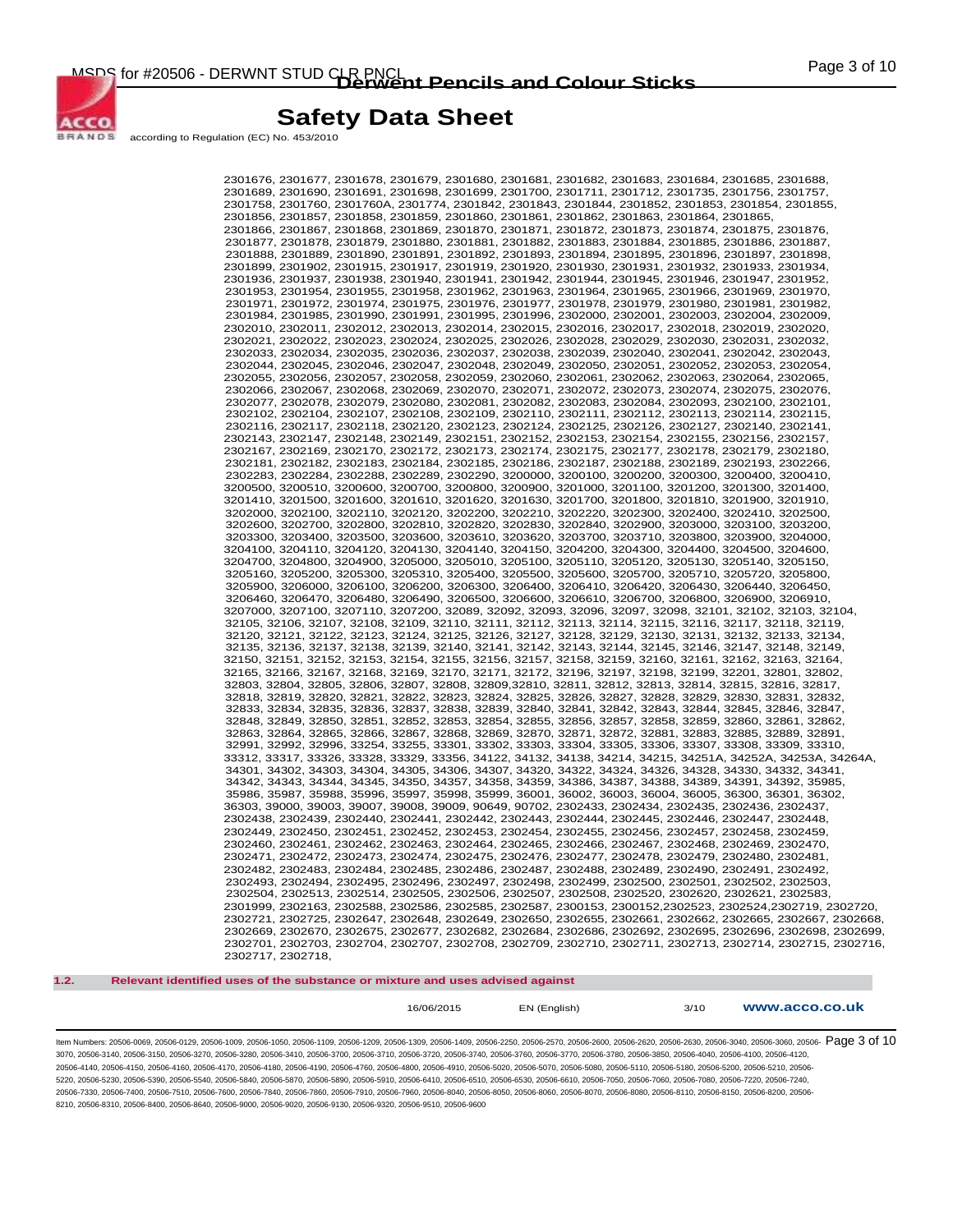

according to Regulation (EC) No. 453/2010

2301676, 2301677, 2301678, 2301679, 2301680, 2301681, 2301682, 2301683, 2301684, 2301685, 2301688, 2301689, 2301690, 2301691, 2301698, 2301699, 2301700, 2301711, 2301712, 2301735, 2301756, 2301757, 2301758, 2301760, 2301760A, 2301774, 2301842, 2301843, 2301844, 2301852, 2301853, 2301854, 2301855, 2301856, 2301857, 2301858, 2301859, 2301860, 2301861, 2301862, 2301863, 2301864, 2301865, 2301866, 2301867, 2301868, 2301869, 2301870, 2301871, 2301872, 2301873, 2301874, 2301875, 2301876, 2301877, 2301878, 2301879, 2301880, 2301881, 2301882, 2301883, 2301884, 2301885, 2301886, 2301887, 2301888, 2301889, 2301890, 2301891, 2301892, 2301893, 2301894, 2301895, 2301896, 2301897, 2301898, 2301899, 2301902, 2301915, 2301917, 2301919, 2301920, 2301930, 2301931, 2301932, 2301933, 2301934, 2301936, 2301937, 2301938, 2301940, 2301941, 2301942, 2301944, 2301945, 2301946, 2301947, 2301952, 2301953, 2301954, 2301955, 2301958, 2301962, 2301963, 2301964, 2301965, 2301966, 2301969, 2301970, 2301971, 2301972, 2301974, 2301975, 2301976, 2301977, 2301978, 2301979, 2301980, 2301981, 2301982, 2301984, 2301985, 2301990, 2301991, 2301995, 2301996, 2302000, 2302001, 2302003, 2302004, 2302009, 2302010, 2302011, 2302012, 2302013, 2302014, 2302015, 2302016, 2302017, 2302018, 2302019, 2302020, 2302021, 2302022, 2302023, 2302024, 2302025, 2302026, 2302028, 2302029, 2302030, 2302031, 2302032, 2302033, 2302034, 2302035, 2302036, 2302037, 2302038, 2302039, 2302040, 2302041, 2302042, 2302043, 2302044, 2302045, 2302046, 2302047, 2302048, 2302049, 2302050, 2302051, 2302052, 2302053, 2302054, 2302055, 2302056, 2302057, 2302058, 2302059, 2302060, 2302061, 2302062, 2302063, 2302064, 2302065, 2302066, 2302067, 2302068, 2302069, 2302070, 2302071, 2302072, 2302073, 2302074, 2302075, 2302076, 2302077, 2302078, 2302079, 2302080, 2302081, 2302082, 2302083, 2302084, 2302093, 2302100, 2302101, 2302102, 2302104, 2302107, 2302108, 2302109, 2302110, 2302111, 2302112, 2302113, 2302114, 2302115, 2302116, 2302117, 2302118, 2302120, 2302123, 2302124, 2302125, 2302126, 2302127, 2302140, 2302141, 2302143, 2302147, 2302148, 2302149, 2302151, 2302152, 2302153, 2302154, 2302155, 2302156, 2302157, 2302167, 2302169, 2302170, 2302172, 2302173, 2302174, 2302175, 2302177, 2302178, 2302179, 2302180, 2302181, 2302182, 2302183, 2302184, 2302185, 2302186, 2302187, 2302188, 2302189, 2302193, 2302266, 2302283, 2302284, 2302288, 2302289, 2302290, 3200000, 3200100, 3200200, 3200300, 3200400, 3200410, 3200500, 3200510, 3200600, 3200700, 3200800, 3200900, 3201000, 3201100, 3201200, 3201300, 3201400, 3201410, 3201500, 3201600, 3201610, 3201620, 3201630, 3201700, 3201800, 3201810, 3201900, 3201910, 3202000, 3202100, 3202110, 3202120, 3202200, 3202210, 3202220, 3202300, 3202400, 3202410, 3202500, 3202600, 3202700, 3202800, 3202810, 3202820, 3202830, 3202840, 3202900, 3203000, 3203100, 3203200, 3203300, 3203400, 3203500, 3203600, 3203610, 3203620, 3203700, 3203710, 3203800, 3203900, 3204000, 3204100, 3204110, 3204120, 3204130, 3204140, 3204150, 3204200, 3204300, 3204400, 3204500, 3204600, 3204700, 3204800, 3204900, 3205000, 3205010, 3205100, 3205110, 3205120, 3205130, 3205140, 3205150, 3205160, 3205200, 3205300, 3205310, 3205400, 3205500, 3205600, 3205700, 3205710, 3205720, 3205800, 3205900, 3206000, 3206100, 3206200, 3206300, 3206400, 3206410, 3206420, 3206430, 3206440, 3206450, 3206460, 3206470, 3206480, 3206490, 3206500, 3206600, 3206610, 3206700, 3206800, 3206900, 3206910, 3207000, 3207100, 3207110, 3207200, 32089, 32092, 32093, 32096, 32097, 32098, 32101, 32102, 32103, 32104, 32105, 32106, 32107, 32108, 32109, 32110, 32111, 32112, 32113, 32114, 32115, 32116, 32117, 32118, 32119, 32120, 32121, 32122, 32123, 32124, 32125, 32126, 32127, 32128, 32129, 32130, 32131, 32132, 32133, 32134, 32135, 32136, 32137, 32138, 32139, 32140, 32141, 32142, 32143, 32144, 32145, 32146, 32147, 32148, 32149, 32150, 32151, 32152, 32153, 32154, 32155, 32156, 32157, 32158, 32159, 32160, 32161, 32162, 32163, 32164, 32165, 32166, 32167, 32168, 32169, 32170, 32171, 32172, 32196, 32197, 32198, 32199, 32201, 32801, 32802, 32803, 32804, 32805, 32806, 32807, 32808, 32809,32810, 32811, 32812, 32813, 32814, 32815, 32816, 32817, 32818, 32819, 32820, 32821, 32822, 32823, 32824, 32825, 32826, 32827, 32828, 32829, 32830, 32831, 32832, 32833, 32834, 32835, 32836, 32837, 32838, 32839, 32840, 32841, 32842, 32843, 32844, 32845, 32846, 32847, 32848, 32849, 32850, 32851, 32852, 32853, 32854, 32855, 32856, 32857, 32858, 32859, 32860, 32861, 32862, 32863, 32864, 32865, 32866, 32867, 32868, 32869, 32870, 32871, 32872, 32881, 32883, 32885, 32889, 32891, 32991, 32992, 32996, 33254, 33255, 33301, 33302, 33303, 33304, 33305, 33306, 33307, 33308, 33309, 33310, 33312, 33317, 33326, 33328, 33329, 33356, 34122, 34132, 34138, 34214, 34215, 34251A, 34252A, 34253A, 34264A, 34301, 34302, 34303, 34304, 34305, 34306, 34307, 34320, 34322, 34324, 34326, 34328, 34330, 34332, 34341, 34342, 34343, 34344, 34345, 34350, 34357, 34358, 34359, 34386, 34387, 34388, 34389, 34391, 34392, 35985, 35986, 35987, 35988, 35996, 35997, 35998, 35999, 36001, 36002, 36003, 36004, 36005, 36300, 36301, 36302, 36303, 39000, 39003, 39007, 39008, 39009, 90649, 90702, 2302433, 2302434, 2302435, 2302436, 2302437, 2302438, 2302439, 2302440, 2302441, 2302442, 2302443, 2302444, 2302445, 2302446, 2302447, 2302448, 2302449, 2302450, 2302451, 2302452, 2302453, 2302454, 2302455, 2302456, 2302457, 2302458, 2302459, 2302460, 2302461, 2302462, 2302463, 2302464, 2302465, 2302466, 2302467, 2302468, 2302469, 2302470, 2302471, 2302472, 2302473, 2302474, 2302475, 2302476, 2302477, 2302478, 2302479, 2302480, 2302481, 2302482, 2302483, 2302484, 2302485, 2302486, 2302487, 2302488, 2302489, 2302490, 2302491, 2302492, 2302493, 2302494, 2302495, 2302496, 2302497, 2302498, 2302499, 2302500, 2302501, 2302502, 2302503, 2302504, 2302513, 2302514, 2302505, 2302506, 2302507, 2302508, 2302520, 2302620, 2302621, 2302583, 2301999, 2302163, 2302588, 2302586, 2302585, 2302587, 2300153, 2300152,2302523, 2302524,2302719, 2302720, 2302721, 2302725, 2302647, 2302648, 2302649, 2302650, 2302655, 2302661, 2302662, 2302665, 2302667, 2302668, 2302669, 2302670, 2302675, 2302677, 2302682, 2302684, 2302686, 2302692, 2302695, 2302696, 2302698, 2302699, 2302701, 2302703, 2302704, 2302707, 2302708, 2302709, 2302710, 2302711, 2302713, 2302714, 2302715, 2302716, 2302717, 2302718,

#### **1.2. Relevant identified uses of the substance or mixture and uses advised against**

16/06/2015 EN (English) 3/10 **www.acco.co.uk**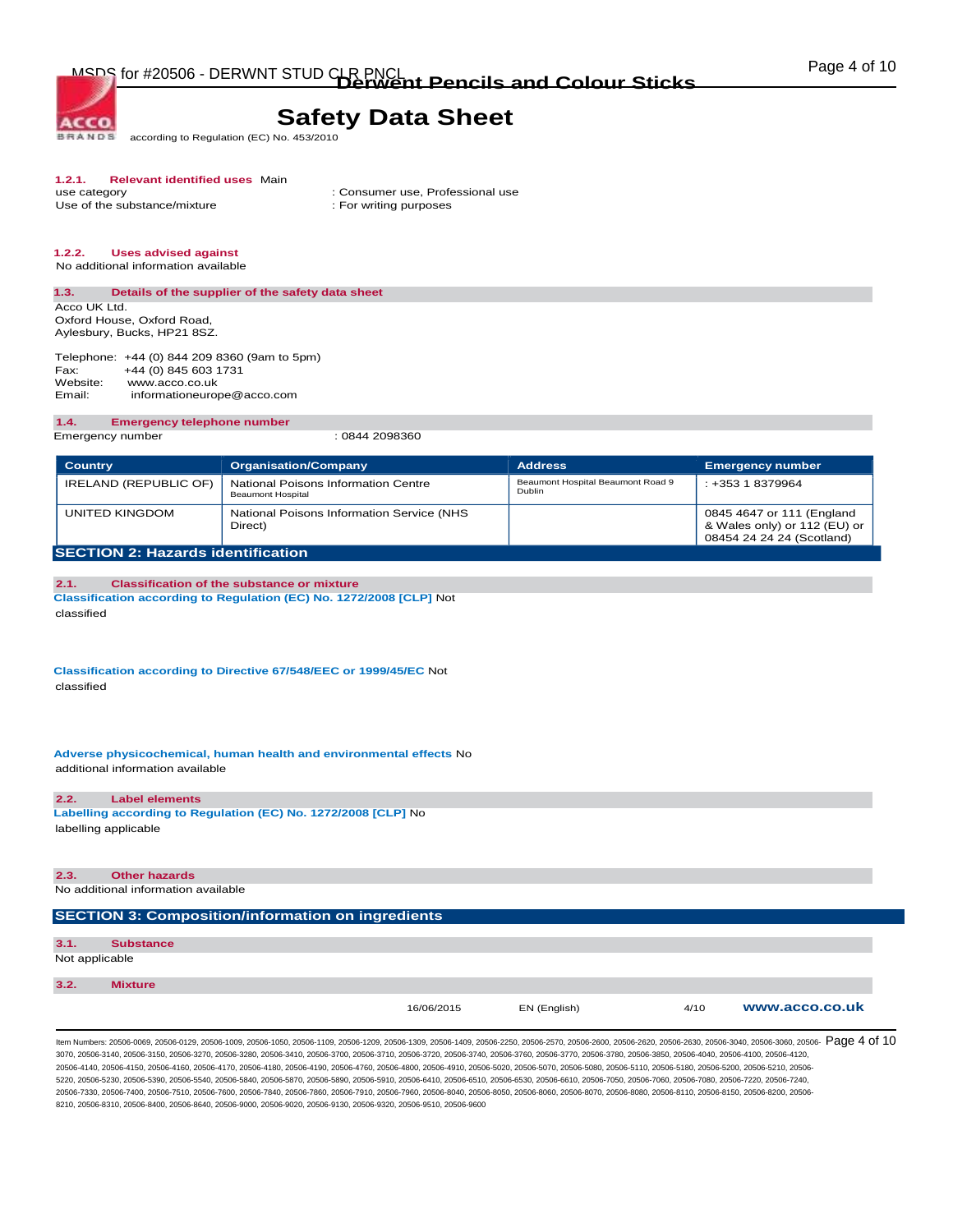**BRANDS** according to Regulation (EC) No. 453/2010

# **1.2.1. Relevant identified uses** Main

Use of the substance/mixture

**ACCO** 

: Consumer use, Professional use : For writing purposes

## **1.2.2. Uses advised against**

No additional information available

### **1.3. Details of the supplier of the safety data sheet**  Acco UK Ltd.

Oxford House, Oxford Road, Aylesbury, Bucks, HP21 8SZ.

Telephone: +44 (0) 844 209 8360 (9am to 5pm) Fax: +44 (0) 845 603 1731<br>Website: www.acco.co.uk www.acco.co.uk Email: informationeurope@acco.com

#### **1.4. Emergency telephone number**

Emergency number : 0844 2098360

| <b>Country</b>                           | <b>Organisation/Company</b>                              | <b>Address</b>                              | <b>Emergency number</b>                                                                |
|------------------------------------------|----------------------------------------------------------|---------------------------------------------|----------------------------------------------------------------------------------------|
| IRELAND (REPUBLIC OF)                    | National Poisons Information Centre<br>Beaumont Hospital | Beaumont Hospital Beaumont Road 9<br>Dublin | $: +35318379964$                                                                       |
| UNITED KINGDOM                           | National Poisons Information Service (NHS<br>Direct)     |                                             | 0845 4647 or 111 (England<br>& Wales only) or 112 (EU) or<br>08454 24 24 24 (Scotland) |
| <b>SECTION 2: Hazards identification</b> |                                                          |                                             |                                                                                        |

#### **2.1. Classification of the substance or mixture Classification according to Regulation (EC) No. 1272/2008 [CLP]** Not classified

**Classification according to Directive 67/548/EEC or 1999/45/EC** Not classified

**Adverse physicochemical, human health and environmental effects** No additional information available

#### **2.2. Label elements**

**Labelling according to Regulation (EC) No. 1272/2008 [CLP]** No labelling applicable

## **2.3. Other hazards**

No additional information available

### **SECTION 3: Composition/information on ingredients**

| 3.1.           | <b>Substance</b> |
|----------------|------------------|
| Not applicable |                  |
|                |                  |
| 3.2.           | <b>Mixture</b>   |

ltem Numbers: 20506-0069, 20506-0129, 20506-1009, 20506-1050, 20506-1109, 20506-1209, 20506-1309, 20506-1409, 20506-250, 20506-2570, 20506-2600, 20506-2630, 20506-2630, 20506-3040, 20506-3060, 20506-3060, 20506-2630, 20506 3070, 20506-3140, 20506-3150, 20506-3270, 20506-3280, 20506-3410, 20506-3700, 20506-3710, 20506-3720, 20506-3740, 20506-3760, 20506-3770, 20506-3780, 20506-3850, 20506-4040, 20506-4100, 20506-4120, 20506-4140, 20506-4150, 20506-4160, 20506-4170, 20506-4180, 20506-4190, 20506-4760, 20506-4800, 20506-4910, 20506-5020, 20506-5070, 20506-5080, 20506-5110, 20506-5180, 20506-5200, 20506-5210, 20506- 5220, 20506-5230, 20506-5390, 20506-5540, 20506-5840, 20506-5870, 20506-5890, 20506-5910, 20506-6410, 20506-6510, 20506-6530, 20506-6610, 20506-7050, 20506-7060, 20506-7080, 20506-7220, 20506-7240, 20506-7330, 20506-7400, 20506-7510, 20506-7600, 20506-7840, 20506-7860, 20506-7910, 20506-7960, 20506-8040, 20506-8050, 20506-8060, 20506-8070, 20506-8080, 20506-8110, 20506-8150, 20506-8200, 20506- 8210, 20506-8310, 20506-8400, 20506-8640, 20506-9000, 20506-9020, 20506-9130, 20506-9320, 20506-9510, 20506-9600

16/06/2015 EN (English) 4/10 **www.acco.co.uk**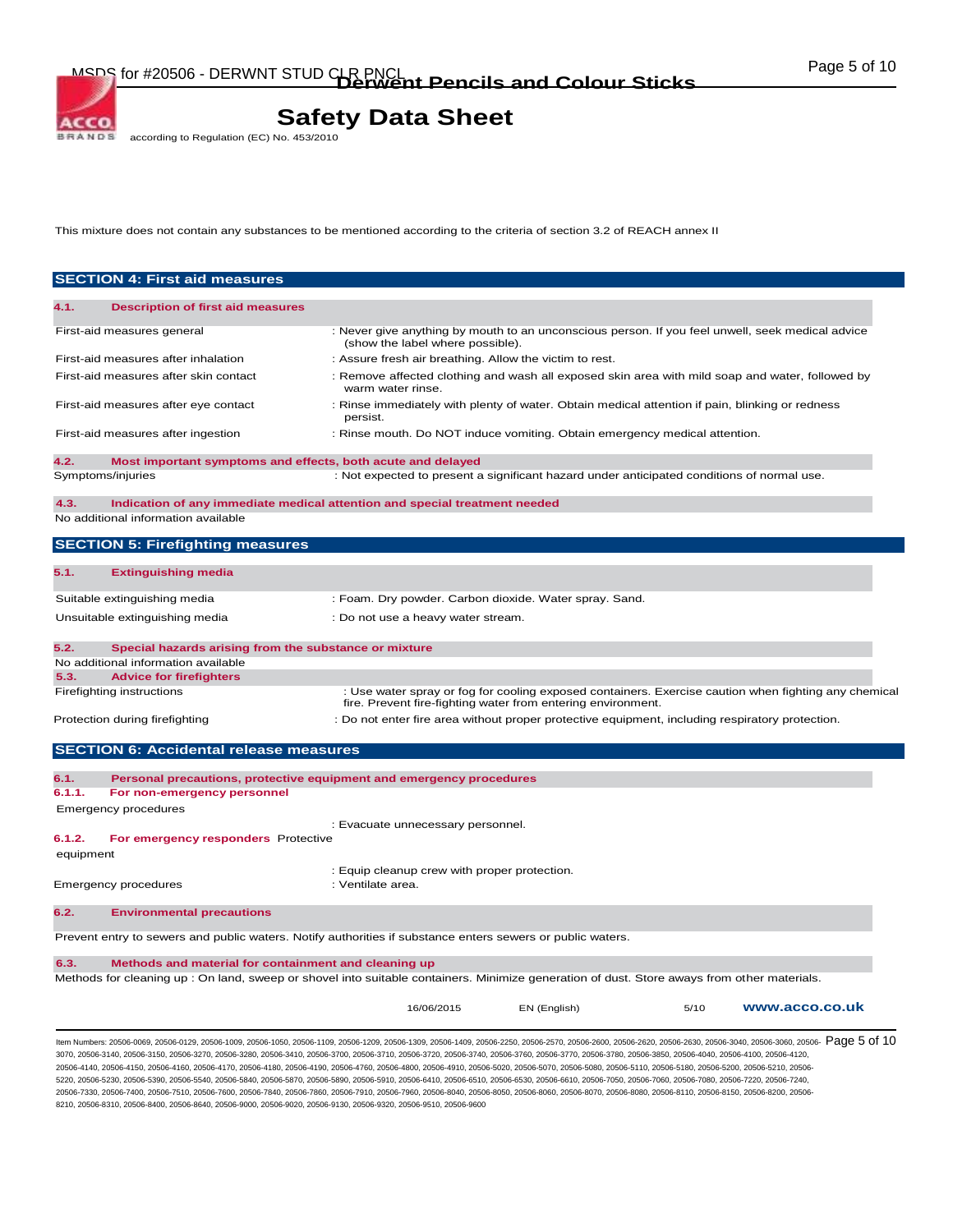according to Regulation (EC) No. 453/2010 **BRANDS** 

**ACCO** 

This mixture does not contain any substances to be mentioned according to the criteria of section 3.2 of REACH annex II

|           | <b>SECTION 4: First aid measures</b>                                                                                                        |                                                                                                                                      |                                                              |                                                                                                      |
|-----------|---------------------------------------------------------------------------------------------------------------------------------------------|--------------------------------------------------------------------------------------------------------------------------------------|--------------------------------------------------------------|------------------------------------------------------------------------------------------------------|
| 4.1.      | <b>Description of first aid measures</b>                                                                                                    |                                                                                                                                      |                                                              |                                                                                                      |
|           | First-aid measures general                                                                                                                  | : Never give anything by mouth to an unconscious person. If you feel unwell, seek medical advice<br>(show the label where possible). |                                                              |                                                                                                      |
|           | First-aid measures after inhalation                                                                                                         | : Assure fresh air breathing. Allow the victim to rest.                                                                              |                                                              |                                                                                                      |
|           | First-aid measures after skin contact                                                                                                       | : Remove affected clothing and wash all exposed skin area with mild soap and water, followed by<br>warm water rinse.                 |                                                              |                                                                                                      |
|           | First-aid measures after eye contact                                                                                                        | : Rinse immediately with plenty of water. Obtain medical attention if pain, blinking or redness<br>persist.                          |                                                              |                                                                                                      |
|           | First-aid measures after ingestion                                                                                                          | : Rinse mouth. Do NOT induce vomiting. Obtain emergency medical attention.                                                           |                                                              |                                                                                                      |
| 4.2.      | Most important symptoms and effects, both acute and delayed                                                                                 |                                                                                                                                      |                                                              |                                                                                                      |
|           | Symptoms/injuries                                                                                                                           | : Not expected to present a significant hazard under anticipated conditions of normal use.                                           |                                                              |                                                                                                      |
| 4.3.      | Indication of any immediate medical attention and special treatment needed<br>No additional information available                           |                                                                                                                                      |                                                              |                                                                                                      |
|           | <b>SECTION 5: Firefighting measures</b>                                                                                                     |                                                                                                                                      |                                                              |                                                                                                      |
| 5.1.      | <b>Extinguishing media</b>                                                                                                                  |                                                                                                                                      |                                                              |                                                                                                      |
|           | Suitable extinguishing media                                                                                                                | : Foam. Dry powder. Carbon dioxide. Water spray. Sand.                                                                               |                                                              |                                                                                                      |
|           | Unsuitable extinguishing media                                                                                                              | : Do not use a heavy water stream.                                                                                                   |                                                              |                                                                                                      |
| 5.2.      | Special hazards arising from the substance or mixture<br>No additional information available                                                |                                                                                                                                      |                                                              |                                                                                                      |
| 5.3.      | <b>Advice for firefighters</b>                                                                                                              |                                                                                                                                      |                                                              |                                                                                                      |
|           | Firefighting instructions                                                                                                                   |                                                                                                                                      | fire. Prevent fire-fighting water from entering environment. | : Use water spray or fog for cooling exposed containers. Exercise caution when fighting any chemical |
|           | Protection during firefighting                                                                                                              | : Do not enter fire area without proper protective equipment, including respiratory protection.                                      |                                                              |                                                                                                      |
|           | <b>SECTION 6: Accidental release measures</b>                                                                                               |                                                                                                                                      |                                                              |                                                                                                      |
| 6.1.      | Personal precautions, protective equipment and emergency procedures                                                                         |                                                                                                                                      |                                                              |                                                                                                      |
| 6.1.1.    | For non-emergency personnel                                                                                                                 |                                                                                                                                      |                                                              |                                                                                                      |
|           | Emergency procedures                                                                                                                        | : Evacuate unnecessary personnel.                                                                                                    |                                                              |                                                                                                      |
| 6.1.2.    | For emergency responders Protective                                                                                                         |                                                                                                                                      |                                                              |                                                                                                      |
| equipment |                                                                                                                                             |                                                                                                                                      |                                                              |                                                                                                      |
|           | <b>Emergency procedures</b>                                                                                                                 | : Equip cleanup crew with proper protection.<br>: Ventilate area.                                                                    |                                                              |                                                                                                      |
| 6.2.      | <b>Environmental precautions</b>                                                                                                            |                                                                                                                                      |                                                              |                                                                                                      |
|           | Prevent entry to sewers and public waters. Notify authorities if substance enters sewers or public waters.                                  |                                                                                                                                      |                                                              |                                                                                                      |
|           |                                                                                                                                             |                                                                                                                                      |                                                              |                                                                                                      |
|           | Methods and material for containment and cleaning up                                                                                        |                                                                                                                                      |                                                              |                                                                                                      |
| 6.3.      | Methods for cleaning up : On land, sweep or shovel into suitable containers. Minimize generation of dust. Store aways from other materials. |                                                                                                                                      |                                                              |                                                                                                      |

3070, 20506-3140, 20506-3150, 20506-3270, 20506-3280, 20506-3410, 20506-3700, 20506-3710, 20506-3720, 20506-3740, 20506-3760, 20506-3770, 20506-3780, 20506-3850, 20506-4040, 20506-4100, 20506-4120, 20506-4140, 20506-4150, 20506-4160, 20506-4170, 20506-4180, 20506-4190, 20506-4760, 20506-4800, 20506-4910, 20506-5020, 20506-5070, 20506-5080, 20506-5110, 20506-5180, 20506-5200, 20506-5210, 20506- 5220, 20506-5230, 20506-5390, 20506-5540, 20506-5840, 20506-5870, 20506-5890, 20506-5910, 20506-6410, 20506-6510, 20506-6530, 20506-6610, 20506-7050, 20506-7060, 20506-7080, 20506-7220, 20506-7240, 20506-7330, 20506-7400, 20506-7510, 20506-7600, 20506-7840, 20506-7860, 20506-7910, 20506-7960, 20506-8040, 20506-8050, 20506-8060, 20506-8070, 20506-8080, 20506-8110, 20506-8150, 20506-8200, 20506- 8210, 20506-8310, 20506-8400, 20506-8640, 20506-9000, 20506-9020, 20506-9130, 20506-9320, 20506-9510, 20506-9600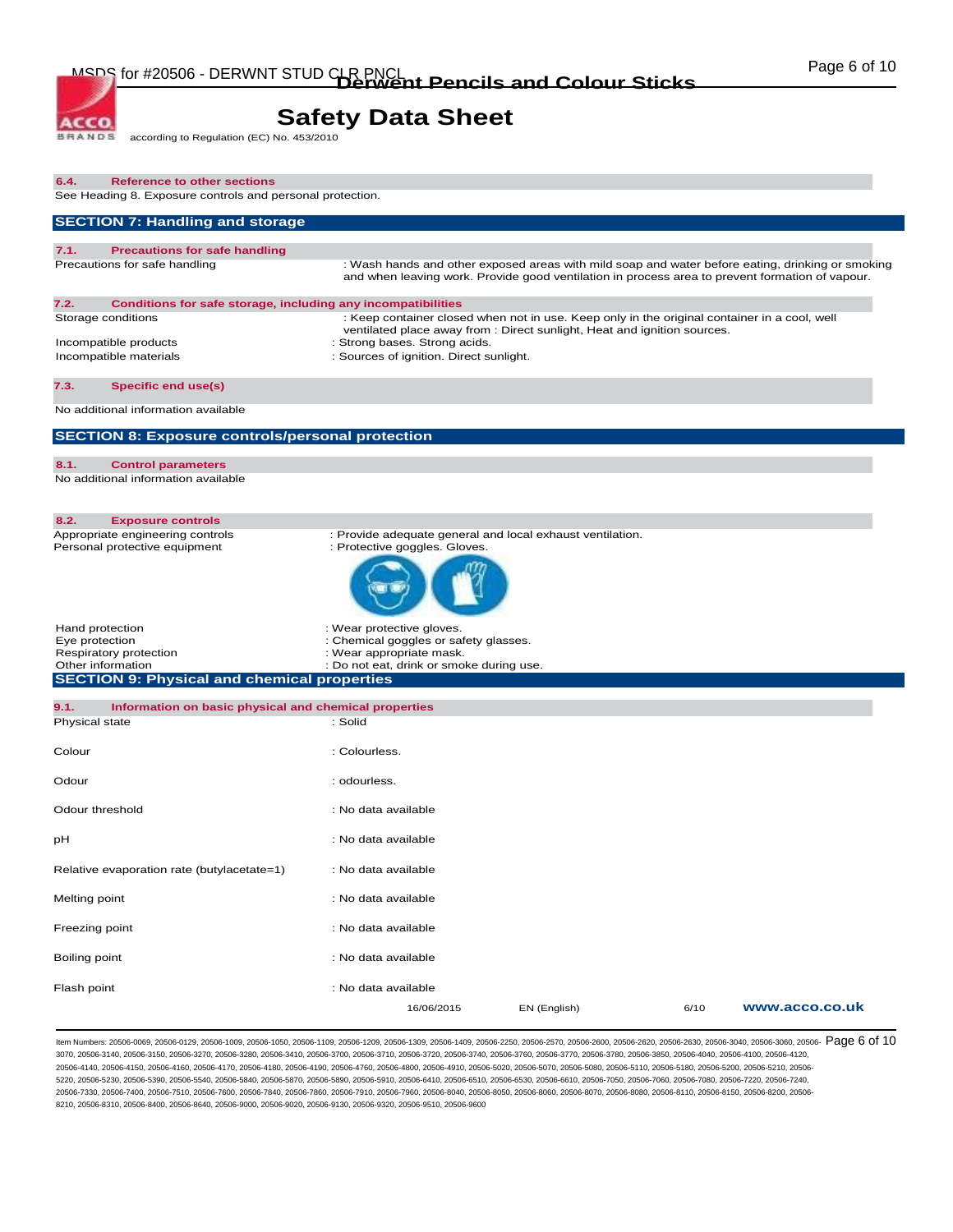according to Regulation (EC) No. 453/2010 **BRANDS** 

ACCO.

| 6.4.<br><b>Reference to other sections</b><br>See Heading 8. Exposure controls and personal protection. |                                                                                                                                                                                                     |              |      |                |
|---------------------------------------------------------------------------------------------------------|-----------------------------------------------------------------------------------------------------------------------------------------------------------------------------------------------------|--------------|------|----------------|
| <b>SECTION 7: Handling and storage</b>                                                                  |                                                                                                                                                                                                     |              |      |                |
| 7.1.<br><b>Precautions for safe handling</b>                                                            |                                                                                                                                                                                                     |              |      |                |
| Precautions for safe handling                                                                           | : Wash hands and other exposed areas with mild soap and water before eating, drinking or smoking<br>and when leaving work. Provide good ventilation in process area to prevent formation of vapour. |              |      |                |
| 7.2.<br>Conditions for safe storage, including any incompatibilities                                    |                                                                                                                                                                                                     |              |      |                |
| Storage conditions                                                                                      | : Keep container closed when not in use. Keep only in the original container in a cool, well<br>ventilated place away from : Direct sunlight, Heat and ignition sources.                            |              |      |                |
| Incompatible products<br>Incompatible materials                                                         | : Strong bases. Strong acids.<br>: Sources of ignition. Direct sunlight.                                                                                                                            |              |      |                |
|                                                                                                         |                                                                                                                                                                                                     |              |      |                |
| 7.3.<br><b>Specific end use(s)</b><br>No additional information available                               |                                                                                                                                                                                                     |              |      |                |
|                                                                                                         |                                                                                                                                                                                                     |              |      |                |
| <b>SECTION 8: Exposure controls/personal protection</b>                                                 |                                                                                                                                                                                                     |              |      |                |
| 8.1.<br><b>Control parameters</b><br>No additional information available                                |                                                                                                                                                                                                     |              |      |                |
|                                                                                                         |                                                                                                                                                                                                     |              |      |                |
| 8.2.<br><b>Exposure controls</b>                                                                        |                                                                                                                                                                                                     |              |      |                |
| Appropriate engineering controls<br>Personal protective equipment                                       | : Provide adequate general and local exhaust ventilation.<br>: Protective goggles. Gloves.                                                                                                          |              |      |                |
|                                                                                                         |                                                                                                                                                                                                     |              |      |                |
| Hand protection                                                                                         | : Wear protective gloves.                                                                                                                                                                           |              |      |                |
| Eye protection<br>Respiratory protection                                                                | : Chemical goggles or safety glasses.<br>: Wear appropriate mask.                                                                                                                                   |              |      |                |
| Other information<br><b>SECTION 9: Physical and chemical properties</b>                                 | : Do not eat, drink or smoke during use.                                                                                                                                                            |              |      |                |
|                                                                                                         |                                                                                                                                                                                                     |              |      |                |
| 9.1.<br>Information on basic physical and chemical properties<br>Physical state                         | : Solid                                                                                                                                                                                             |              |      |                |
| Colour                                                                                                  | : Colourless.                                                                                                                                                                                       |              |      |                |
| Odour                                                                                                   | : odourless.                                                                                                                                                                                        |              |      |                |
| Odour threshold                                                                                         | : No data available                                                                                                                                                                                 |              |      |                |
| рH                                                                                                      | : No data available                                                                                                                                                                                 |              |      |                |
|                                                                                                         |                                                                                                                                                                                                     |              |      |                |
| Relative evaporation rate (butylacetate=1)                                                              | : No data available                                                                                                                                                                                 |              |      |                |
| Melting point                                                                                           | : No data available                                                                                                                                                                                 |              |      |                |
| Freezing point                                                                                          | : No data available                                                                                                                                                                                 |              |      |                |
| Boiling point                                                                                           | : No data available                                                                                                                                                                                 |              |      |                |
| Flash point                                                                                             | : No data available                                                                                                                                                                                 |              |      |                |
|                                                                                                         | 16/06/2015                                                                                                                                                                                          | EN (English) | 6/10 | www.acco.co.uk |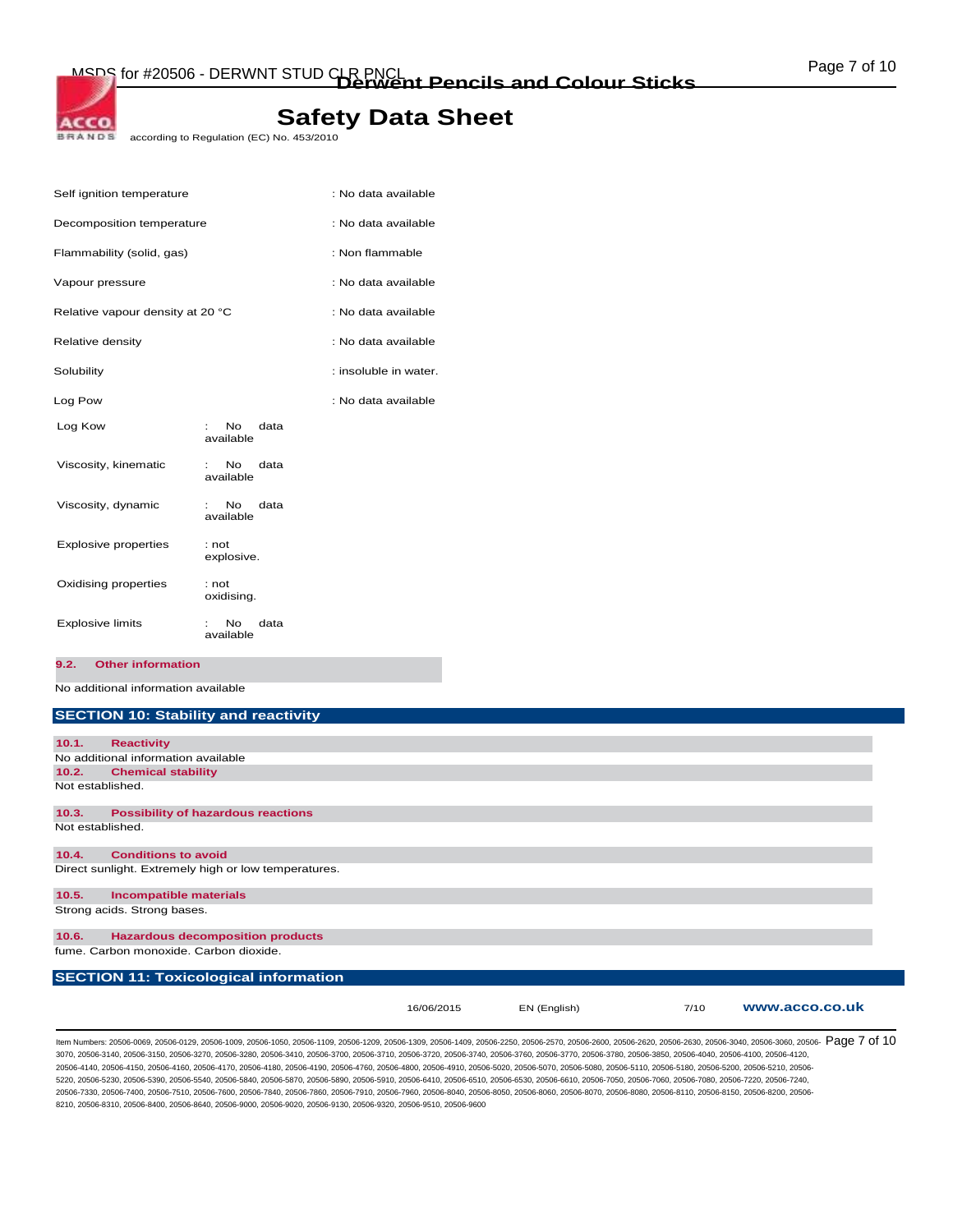according to Regulation (EC) No. 453/2010

| Self ignition temperature        |                                     | : No data available   |
|----------------------------------|-------------------------------------|-----------------------|
| Decomposition temperature        |                                     | : No data available   |
| Flammability (solid, gas)        |                                     | : Non flammable       |
| Vapour pressure                  |                                     | : No data available   |
| Relative vapour density at 20 °C |                                     | : No data available   |
| Relative density                 |                                     | : No data available   |
| Solubility                       |                                     | : insoluble in water. |
| Log Pow                          |                                     | : No data available   |
| Log Kow                          | <b>No</b><br>data<br>÷<br>available |                       |
| Viscosity, kinematic             | No.<br>data<br>t.<br>available      |                       |
| Viscosity, dynamic               | No.<br>data<br>available            |                       |
| <b>Explosive properties</b>      | : not<br>explosive.                 |                       |
| Oxidising properties             | : not<br>oxidising.                 |                       |
| <b>Explosive limits</b>          | No.<br>data<br>available            |                       |

**9.2. Other information** 

ACCO. **BRANDS** 

No additional information available

## **SECTION 10: Stability and reactivity**

| 10.1.            | <b>Reactivity</b>                                    |            |              |      |                |
|------------------|------------------------------------------------------|------------|--------------|------|----------------|
|                  | No additional information available                  |            |              |      |                |
| 10.2.            | <b>Chemical stability</b>                            |            |              |      |                |
|                  | Not established.                                     |            |              |      |                |
| 10.3.            | <b>Possibility of hazardous reactions</b>            |            |              |      |                |
|                  |                                                      |            |              |      |                |
| Not established. |                                                      |            |              |      |                |
| 10.4.            | <b>Conditions to avoid</b>                           |            |              |      |                |
|                  | Direct sunlight. Extremely high or low temperatures. |            |              |      |                |
| 10.5.            | <b>Incompatible materials</b>                        |            |              |      |                |
|                  | Strong acids. Strong bases.                          |            |              |      |                |
|                  |                                                      |            |              |      |                |
| 10.6.            | <b>Hazardous decomposition products</b>              |            |              |      |                |
|                  | fume. Carbon monoxide. Carbon dioxide.               |            |              |      |                |
|                  |                                                      |            |              |      |                |
|                  | <b>SECTION 11: Toxicological information</b>         |            |              |      |                |
|                  |                                                      |            |              |      |                |
|                  |                                                      | 16/06/2015 | EN (English) | 7/10 | www.acco.co.uk |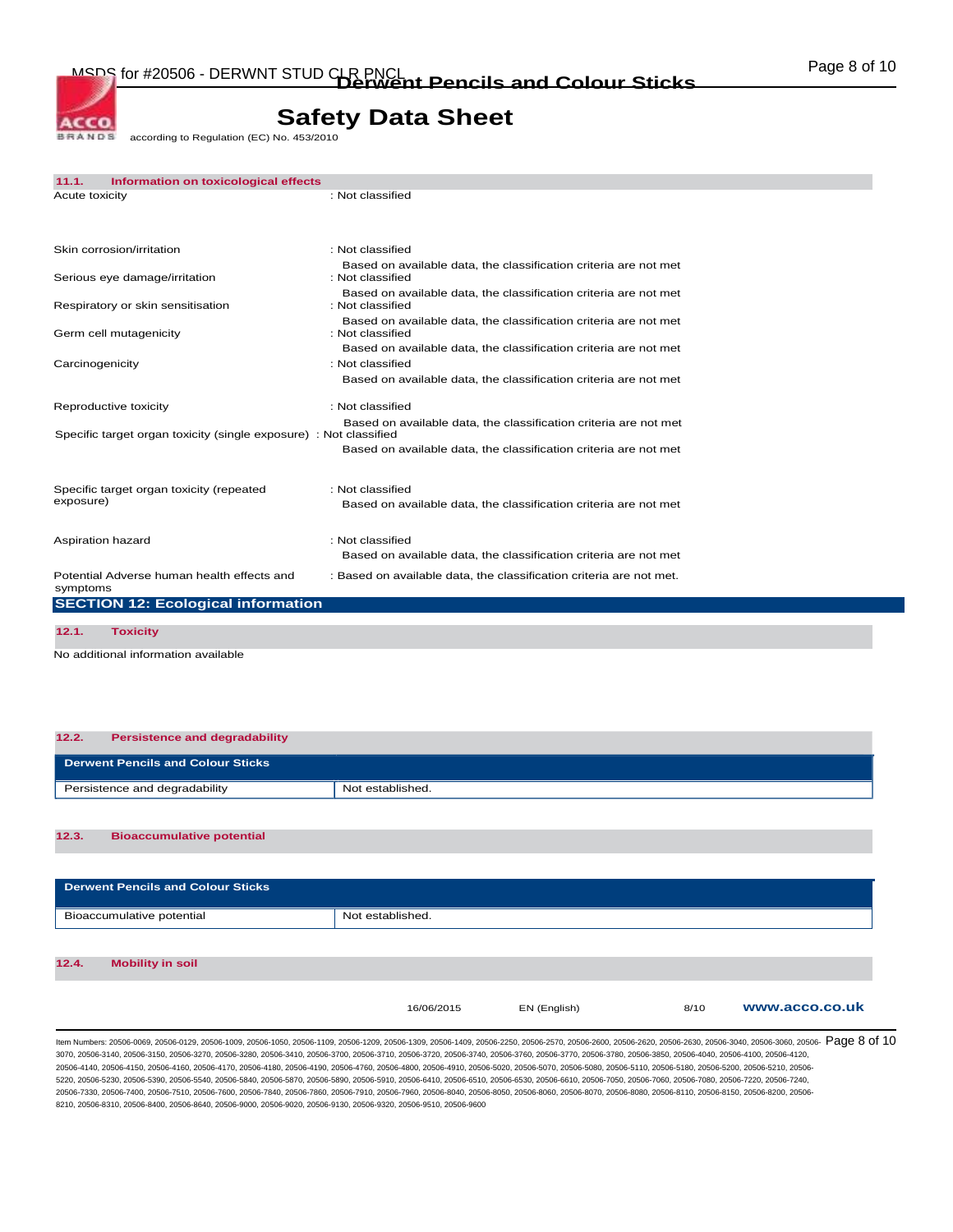according to Regulation (EC) No. 453/2010 **BRANDS** 

**ACCO** 

| 11.1.           | Information on toxicological effects                              |                                                                                      |
|-----------------|-------------------------------------------------------------------|--------------------------------------------------------------------------------------|
| Acute toxicity  |                                                                   | : Not classified                                                                     |
|                 |                                                                   |                                                                                      |
|                 | Skin corrosion/irritation                                         | : Not classified                                                                     |
|                 | Serious eye damage/irritation                                     | Based on available data, the classification criteria are not met<br>: Not classified |
|                 | Respiratory or skin sensitisation                                 | Based on available data, the classification criteria are not met<br>: Not classified |
|                 | Germ cell mutagenicity                                            | Based on available data, the classification criteria are not met<br>: Not classified |
|                 |                                                                   | Based on available data, the classification criteria are not met                     |
| Carcinogenicity |                                                                   | : Not classified                                                                     |
|                 |                                                                   | Based on available data, the classification criteria are not met                     |
|                 | Reproductive toxicity                                             | : Not classified                                                                     |
|                 | Specific target organ toxicity (single exposure) : Not classified | Based on available data, the classification criteria are not met                     |
|                 |                                                                   | Based on available data, the classification criteria are not met                     |
|                 | Specific target organ toxicity (repeated                          | : Not classified                                                                     |
| exposure)       |                                                                   | Based on available data, the classification criteria are not met                     |
|                 | Aspiration hazard                                                 | : Not classified                                                                     |
|                 |                                                                   | Based on available data, the classification criteria are not met                     |
| symptoms        | Potential Adverse human health effects and                        | : Based on available data, the classification criteria are not met.                  |
|                 | <b>SECTION 12: Ecological information</b>                         |                                                                                      |
| 12.1.           | <b>Toxicity</b>                                                   |                                                                                      |
|                 |                                                                   |                                                                                      |

No additional information available

#### **12.2. Persistence and degradability**

| <b>Derwent Pencils and Colour Sticks</b> |                  |
|------------------------------------------|------------------|
| Persistence and degradability            | Not established. |

### **12.3. Bioaccumulative potential**

| <b>Derwent Pencils and Colour Sticks</b> |                  |              |      |                |
|------------------------------------------|------------------|--------------|------|----------------|
| Bioaccumulative potential                | Not established. |              |      |                |
| 12.4.<br><b>Mobility in soil</b>         |                  |              |      |                |
|                                          |                  |              |      |                |
|                                          | 16/06/2015       | EN (English) | 8/10 | www.acco.co.uk |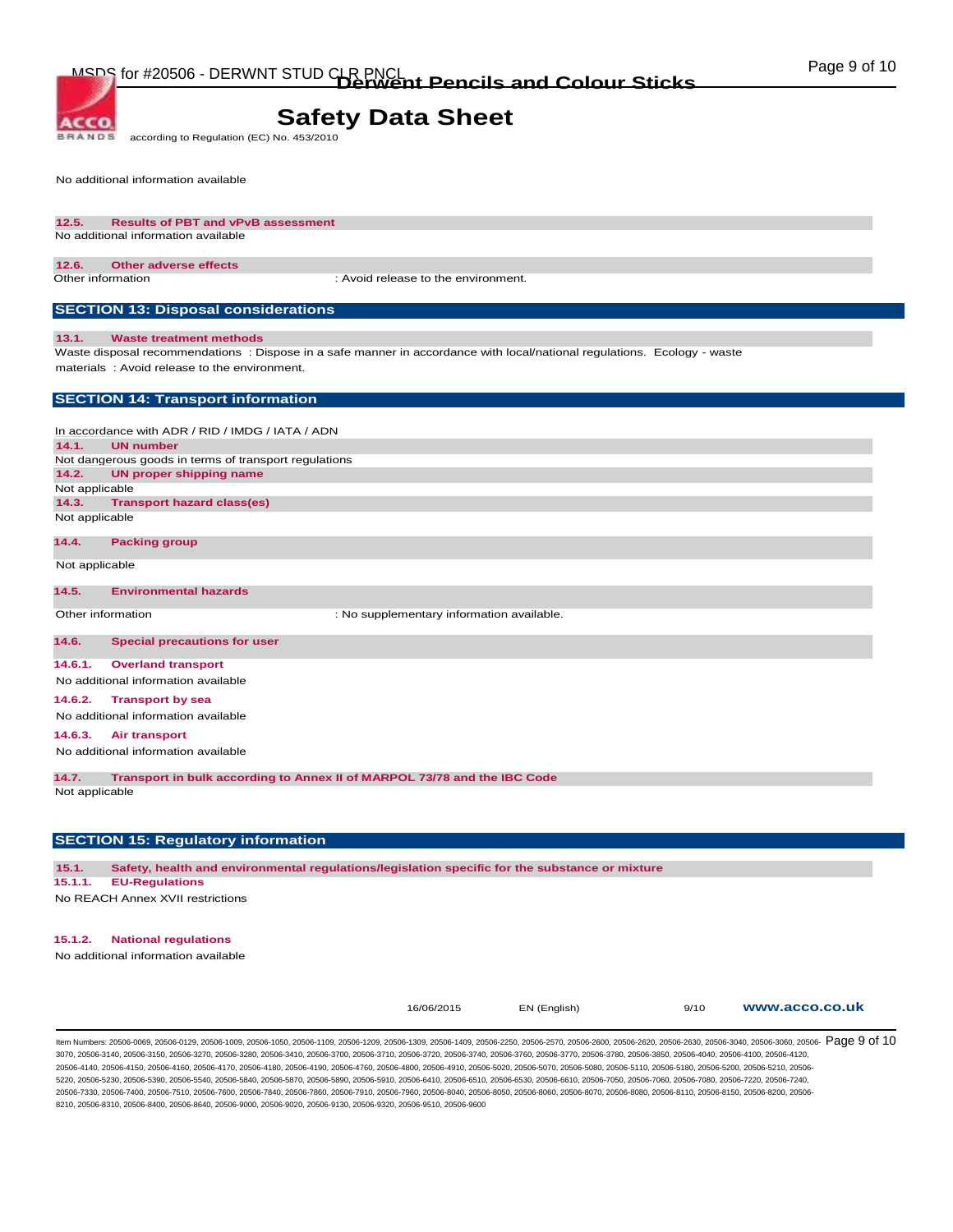**BRANDS** according to Regulation (EC) No. 453/2010

No additional information available

ACCO.

#### **12.5. Results of PBT and vPvB assessment**  No additional information available

### **12.6. Other adverse effects**

Other information : Avoid release to the environment.

### **SECTION 13: Disposal considerations**

#### **13.1. Waste treatment methods**

Waste disposal recommendations : Dispose in a safe manner in accordance with local/national regulations. Ecology - waste materials : Avoid release to the environment.

### **SECTION 14: Transport information**

In accordance with ADR / RID / IMDG / IATA / ADN **14.1. UN number**  Not dangerous goods in terms of transport regulations **14.2. UN proper shipping name**  Not applicable **14.3. Transport hazard class(es)**  Not applicable

#### **14.4. Packing group**

Not applicable

#### **14.5. Environmental hazards**

Other information  $\qquad \qquad :$  No supplementary information available.

### **14.6. Special precautions for user**

**14.6.1. Overland transport** 

No additional information available

#### **14.6.2. Transport by sea**

No additional information available

#### **14.6.3. Air transport**

No additional information available

**14.7. Transport in bulk according to Annex II of MARPOL 73/78 and the IBC Code** 

Not applicable

### **SECTION 15: Regulatory information**

**15.1. Safety, health and environmental regulations/legislation specific for the substance or mixture** 

#### **15.1.1. EU-Regulations**

No REACH Annex XVII restrictions

### **15.1.2. National regulations**

No additional information available

16/06/2015 EN (English) 9/10 **www.acco.co.uk**